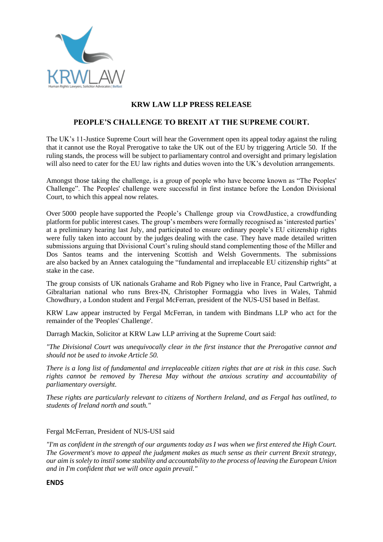

## **KRW LAW LLP PRESS RELEASE**

## **PEOPLE'S CHALLENGE TO BREXIT AT THE SUPREME COURT.**

The UK's 11-Justice Supreme Court will hear the Government open its appeal today against the ruling that it cannot use the Royal Prerogative to take the UK out of the EU by triggering Article 50. If the ruling stands, the process will be subject to parliamentary control and oversight and primary legislation will also need to cater for the EU law rights and duties woven into the UK's devolution arrangements.

Amongst those taking the challenge, is a group of people who have become known as "The Peoples' Challenge". The Peoples' challenge were successful in first instance before the London Divisional Court, to which this appeal now relates.

Over 5000 people have supported the People's Challenge group via CrowdJustice, a crowdfunding platform for public interest cases. The group's members were formally recognised as 'interested parties' at a preliminary hearing last July, and participated to ensure ordinary people's EU citizenship rights were fully taken into account by the judges dealing with the case. They have made detailed written submissions arguing that Divisional Court's ruling should stand complementing those of the Miller and Dos Santos teams and the intervening Scottish and Welsh Governments. The submissions are also backed by an Annex cataloguing the "fundamental and irreplaceable EU citizenship rights" at stake in the case.

The group consists of UK nationals Grahame and Rob Pigney who live in France, Paul Cartwright, a Gibraltarian national who runs Brex-IN, Christopher Formaggia who lives in Wales, Tahmid Chowdhury, a London student and Fergal McFerran, president of the NUS-USI based in Belfast.

KRW Law appear instructed by Fergal McFerran, in tandem with Bindmans LLP who act for the remainder of the 'Peoples' Challenge'.

Darragh Mackin, Solicitor at KRW Law LLP arriving at the Supreme Court said:

*"The Divisional Court was unequivocally clear in the first instance that the Prerogative cannot and should not be used to invoke Article 50.*

*There is a long list of fundamental and irreplaceable citizen rights that are at risk in this case. Such rights cannot be removed by Theresa May without the anxious scrutiny and accountability of parliamentary oversight.*

*These rights are particularly relevant to citizens of Northern Ireland, and as Fergal has outlined, to students of Ireland north and south."*

## Fergal McFerran, President of NUS-USI said

*"I'm as confident in the strength of our arguments today as I was when we first entered the High Court. The Goverment's move to appeal the judgment makes as much sense as their current Brexit strategy, our aim is solely to instil some stability and accountability to the process of leaving the European Union and in I'm confident that we will once again prevail."*

**ENDS**